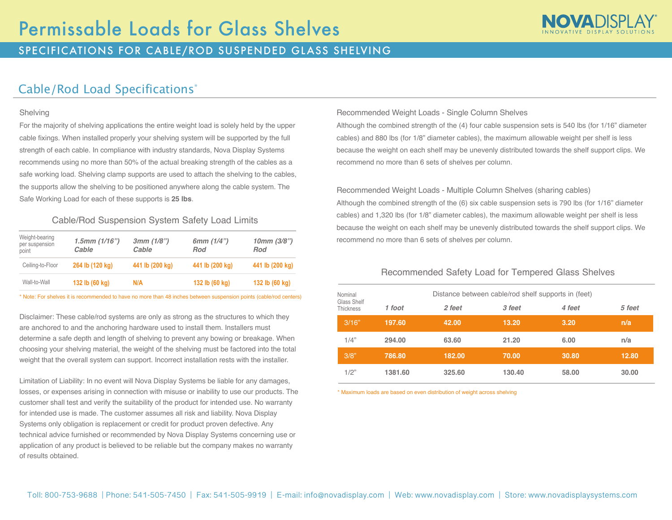

## SPECIFICATIONS FOR CABLE/ROD SUSPENDED GLASS SHELVING

# Cable/Rod Load Specifications\*

#### Shelving

For the majority of shelving applications the entire weight load is solely held by the upper cable fixings. When installed properly your shelving system will be supported by the full strength of each cable. In compliance with industry standards, Nova Display Systems recommends using no more than 50% of the actual breaking strength of the cables as a safe working load. Shelving clamp supports are used to attach the shelving to the cables, the supports allow the shelving to be positioned anywhere along the cable system. The Safe Working Load for each of these supports is **25 lbs**.

#### Cable/Rod Suspension System Safety Load Limits

| Weight-bearing<br>per suspension<br>point | $1.5$ mm $(1/16")$<br>Cable | 3mm(1/8")<br>Cable | 6mm $(1/4")$<br>Rod | $10mm$ (3/8")<br>Rod |
|-------------------------------------------|-----------------------------|--------------------|---------------------|----------------------|
| Ceiling-to-Floor                          | 264 lb (120 kg)             | 441 lb (200 kg)    | 441 lb (200 kg)     | 441 lb (200 kg)      |
| Wall-to-Wall                              | 132 lb (60 kg)              | N/A                | 132 lb (60 kg)      | 132 lb (60 kg)       |

\* Note: For shelves it is recommended to have no more than 48 inches between suspension points (cable/rod centers)

Disclaimer: These cable/rod systems are only as strong as the structures to which they are anchored to and the anchoring hardware used to install them. Installers must determine a safe depth and length of shelving to prevent any bowing or breakage. When choosing your shelving material, the weight of the shelving must be factored into the total weight that the overall system can support. Incorrect installation rests with the installer.

Limitation of Liability: In no event will Nova Display Systems be liable for any damages, losses, or expenses arising in connection with misuse or inability to use our products. The customer shall test and verify the suitability of the product for intended use. No warranty for intended use is made. The customer assumes all risk and liability. Nova Display Systems only obligation is replacement or credit for product proven defective. Any technical advice furnished or recommended by Nova Display Systems concerning use or application of any product is believed to be reliable but the company makes no warranty of results obtained.

#### Recommended Weight Loads - Single Column Shelves

Although the combined strength of the (4) four cable suspension sets is 540 lbs (for 1/16" diameter cables) and 880 lbs (for 1/8" diameter cables), the maximum allowable weight per shelf is less because the weight on each shelf may be unevenly distributed towards the shelf support clips. We recommend no more than 6 sets of shelves per column.

#### Recommended Weight Loads - Multiple Column Shelves (sharing cables)

Although the combined strength of the (6) six cable suspension sets is 790 lbs (for 1/16" diameter cables) and 1,320 lbs (for 1/8" diameter cables), the maximum allowable weight per shelf is less because the weight on each shelf may be unevenly distributed towards the shelf support clips. We recommend no more than 6 sets of shelves per column.

#### Recommended Safety Load for Tempered Glass Shelves

| Nominal                  |         | Distance between cable/rod shelf supports in (feet) |        |        |        |  |  |  |
|--------------------------|---------|-----------------------------------------------------|--------|--------|--------|--|--|--|
| Glass Shelf<br>Thickness | 1 foot  | 2 feet                                              | 3 feet | 4 feet | 5 feet |  |  |  |
| 3/16"                    | 197.60  | 42.00                                               | 13.20  | 3.20   | n/a    |  |  |  |
| 1/4"                     | 294.00  | 63.60                                               | 21.20  | 6.00   | n/a    |  |  |  |
| 3/8"                     | 786.80  | 182.00                                              | 70.00  | 30.80  | 12.80  |  |  |  |
| 1/2"                     | 1381.60 | 325.60                                              | 130.40 | 58.00  | 30.00  |  |  |  |

\* Maximum loads are based on even distribution of weight across shelving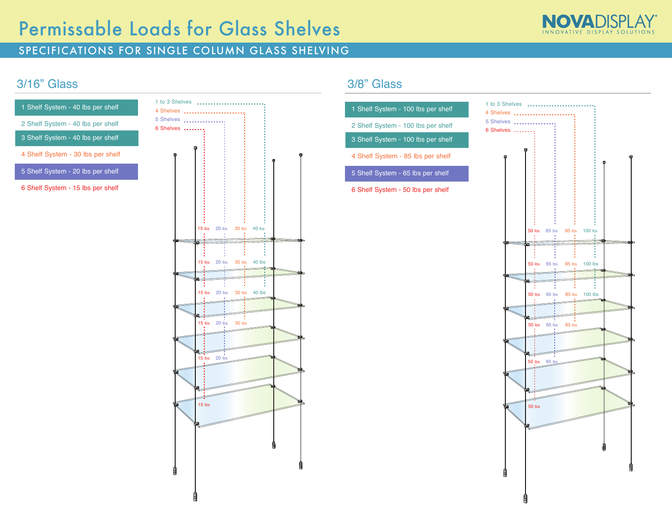# Permissable Loads for Glass Shelves



### SPECIFICATIONS FOR SINGLE COLUMN GLASS SHELVING

# 3/16" Glass

| 1 Shelf System - 40 lbs per shelf | 1 to 3 Shelves.<br>4 Shelves  |
|-----------------------------------|-------------------------------|
| 2 Shelf System - 40 lbs per shelf | 5 Shelves<br><b>6 Shelves</b> |
| 3 Shelf System - 40 lbs per shelf |                               |
| 4 Shelf System - 30 lbs per shelf |                               |
| 5 Shelf System - 20 lbs per shelf |                               |
| 6 Shelf System - 15 lbs per shelf |                               |
|                                   |                               |
|                                   |                               |
|                                   |                               |
|                                   |                               |
|                                   |                               |
|                                   |                               |
|                                   |                               |
|                                   |                               |
|                                   |                               |
|                                   |                               |
|                                   |                               |



## 3/8" Glass